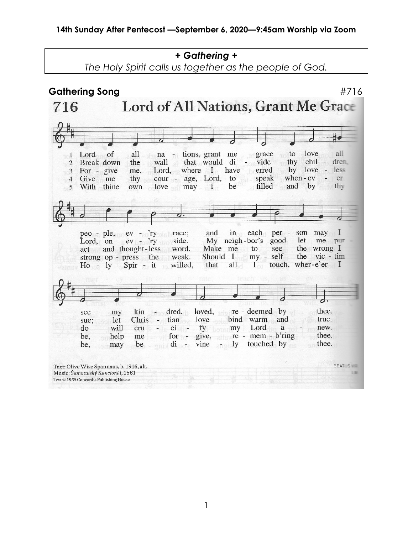+ Gathering + The Holy Spirit calls us together as the people of God. Gathering Song #716 Lord of All Nations, Grant Me Grace 716  $\mathbf{H}$ of all na - tions, grant me grace to love all  $\overline{1}$ Lord wall that would di thy chil - drem  $\overline{2}$ Break down the - vide by love - less For - give Lord, where I have erred me,  $\overline{3}$ cour - age, Lord, to speak when  $-eV -$ Give me er  $\overline{4}$ thy be filled and by thy With thine own  $love$  may  $I$ 5  $\vec{c}$ peo - ple, ev - 'ry race; and  $in$ each per son may I Lord, on ev - 'ry side. My neigh-bor's good let me pur word. Make me to see the wrong I act and thought-less strong op - press the Should I my - self the vic - tim weak. all  $\Gamma$ touch, wher-e'er I  $Ho - ly$ Spir - it willed. that kin - dred, loved, re - deemed by thee. see my Chris - tian love bind warm and true. let sue: will do cru  $-11$  $ci$ fy my Lord a new. for - give, re - mem - b'ring thee. be, help me may be  $\epsilon_{\text{min}}$  di nov  $vine - ly$ touched by thee. be, Text: Olive Wise Spannaus, b. 1916, alt. BEATUS Music: Šamotulský Kancionál, 1561 **LW** Text © 1969 Concordia Publishing House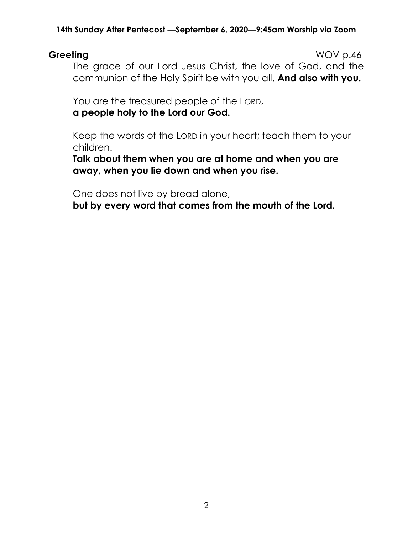Greeting WOV p.46 The grace of our Lord Jesus Christ, the love of God, and the communion of the Holy Spirit be with you all. And also with you.

You are the treasured people of the LORD, a people holy to the Lord our God.

Keep the words of the LORD in your heart; teach them to your children.

Talk about them when you are at home and when you are away, when you lie down and when you rise.

One does not live by bread alone,

but by every word that comes from the mouth of the Lord.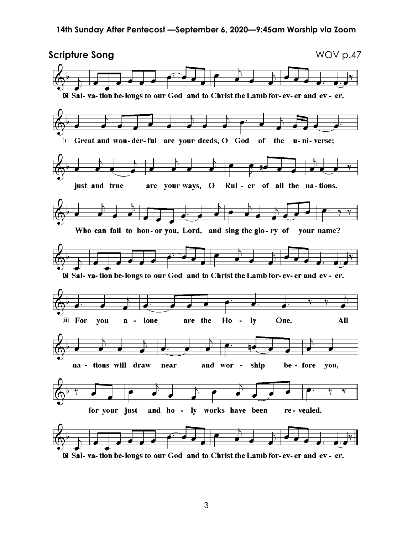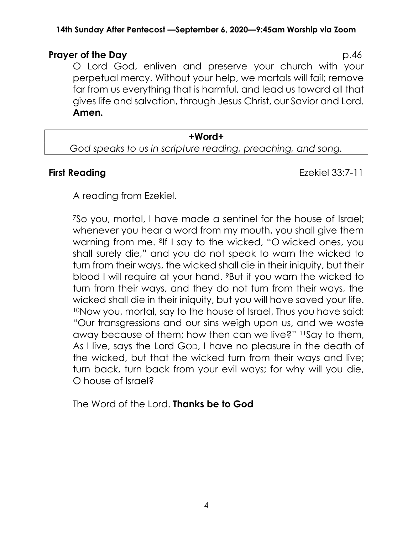#### **Prayer of the Day** p.46

O Lord God, enliven and preserve your church with your perpetual mercy. Without your help, we mortals will fail; remove far from us everything that is harmful, and lead us toward all that gives life and salvation, through Jesus Christ, our Savior and Lord. Amen.

#### +Word+

God speaks to us in scripture reading, preaching, and song.

First Reading **Exercise 23:7-11** 

A reading from Ezekiel.

<sup>7</sup>So you, mortal, I have made a sentinel for the house of Israel; whenever you hear a word from my mouth, you shall give them warning from me. 8If I say to the wicked, "O wicked ones, you shall surely die," and you do not speak to warn the wicked to turn from their ways, the wicked shall die in their iniquity, but their blood I will require at your hand. 9But if you warn the wicked to turn from their ways, and they do not turn from their ways, the wicked shall die in their iniquity, but you will have saved your life. <sup>10</sup>Now you, mortal, say to the house of Israel, Thus you have said: "Our transgressions and our sins weigh upon us, and we waste away because of them; how then can we live?" 11Say to them, As I live, says the Lord GOD, I have no pleasure in the death of the wicked, but that the wicked turn from their ways and live; turn back, turn back from your evil ways; for why will you die, O house of Israel?

The Word of the Lord. **Thanks be to God**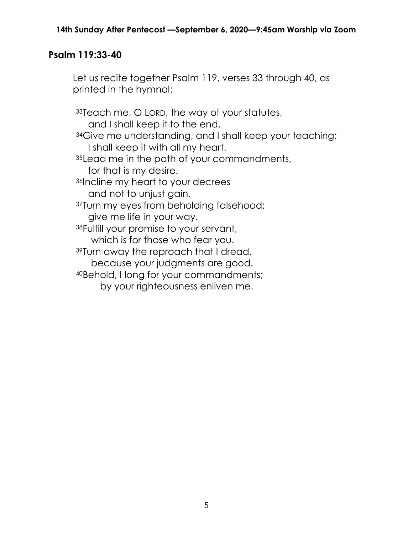### Psalm 119:33-40

Let us recite together Psalm 119, verses 33 through 40, as printed in the hymnal:

<sup>33</sup>Teach me, O LORD, the way of your statutes, and I shall keep it to the end. 34Give me understanding, and I shall keep your teaching; I shall keep it with all my heart. 35 Lead me in the path of your commandments, for that is my desire. <sup>36</sup>Incline my heart to your decrees and not to unjust gain. 37Turn my eyes from beholding falsehood; give me life in your way. <sup>38</sup>Fulfill your promise to your servant, which is for those who fear you. <sup>39</sup>Turn away the reproach that I dread, because your judgments are good. <sup>40</sup>Behold, I long for your commandments; by your righteousness enliven me.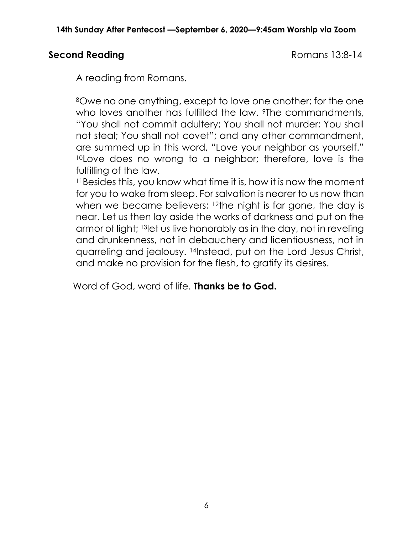# Second Reading **Second Reading Romans 13:8-14**

A reading from Romans.

<sup>8</sup>Owe no one anything, except to love one another; for the one who loves another has fulfilled the law. <sup>9</sup>The commandments, "You shall not commit adultery; You shall not murder; You shall not steal; You shall not covet"; and any other commandment, are summed up in this word, "Love your neighbor as yourself." <sup>10</sup>Love does no wrong to a neighbor; therefore, love is the fulfilling of the law.

<sup>11</sup>Besides this, you know what time it is, how it is now the moment for you to wake from sleep. For salvation is nearer to us now than when we became believers; 12the night is far gone, the day is near. Let us then lay aside the works of darkness and put on the armor of light; 13let us live honorably as in the day, not in reveling and drunkenness, not in debauchery and licentiousness, not in quarreling and jealousy. 14Instead, put on the Lord Jesus Christ, and make no provision for the flesh, to gratify its desires.

Word of God, word of life. **Thanks be to God.**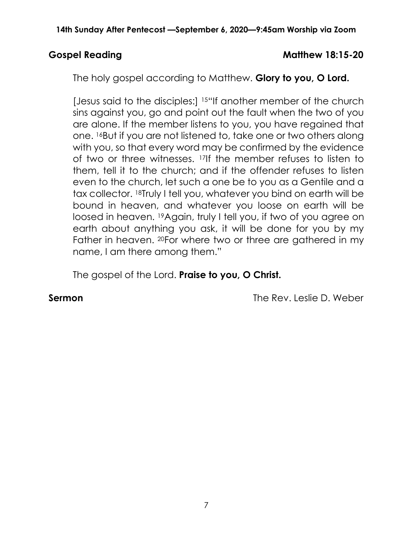### Gospel Reading and Matthew 18:15-20

The holy gospel according to Matthew. Glory to you, O Lord.

[Jesus said to the disciples:] <sup>15"</sup>If another member of the church sins against you, go and point out the fault when the two of you are alone. If the member listens to you, you have regained that one. 16But if you are not listened to, take one or two others along with you, so that every word may be confirmed by the evidence of two or three witnesses. 17If the member refuses to listen to them, tell it to the church; and if the offender refuses to listen even to the church, let such a one be to you as a Gentile and a tax collector. 18Truly I tell you, whatever you bind on earth will be bound in heaven, and whatever you loose on earth will be loosed in heaven. 19Again, truly I tell you, if two of you agree on earth about anything you ask, it will be done for you by my Father in heaven. <sup>20</sup>For where two or three are gathered in my name, I am there among them."

The gospel of the Lord. Praise to you, O Christ.

**Sermon** The Rev. Leslie D. Weber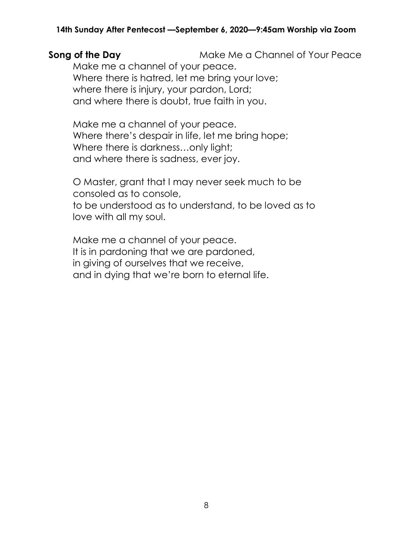### **Song of the Day** Make Me a Channel of Your Peace Make me a channel of your peace. Where there is hatred, let me bring your love; where there is injury, your pardon, Lord; and where there is doubt, true faith in you.

Make me a channel of your peace. Where there's despair in life, let me bring hope; Where there is darkness…only light; and where there is sadness, ever joy.

O Master, grant that I may never seek much to be consoled as to console, to be understood as to understand, to be loved as to love with all my soul.

Make me a channel of your peace. It is in pardoning that we are pardoned, in giving of ourselves that we receive, and in dying that we're born to eternal life.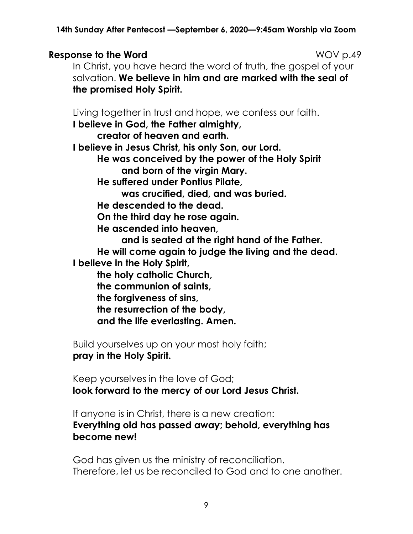### **Response to the Word Notifiation COV and NOV p.49**

In Christ, you have heard the word of truth, the gospel of your salvation. We believe in him and are marked with the seal of the promised Holy Spirit.

Living together in trust and hope, we confess our faith.

I believe in God, the Father almighty,

creator of heaven and earth.

I believe in Jesus Christ, his only Son, our Lord.

He was conceived by the power of the Holy Spirit and born of the virgin Mary.

He suffered under Pontius Pilate,

was crucified, died, and was buried.

He descended to the dead.

On the third day he rose again.

He ascended into heaven,

and is seated at the right hand of the Father. He will come again to judge the living and the dead. I believe in the Holy Spirit,

the holy catholic Church,

the communion of saints,

the forgiveness of sins,

the resurrection of the body,

and the life everlasting. Amen.

Build yourselves up on your most holy faith; pray in the Holy Spirit.

Keep yourselves in the love of God; look forward to the mercy of our Lord Jesus Christ.

If anyone is in Christ, there is a new creation: Everything old has passed away; behold, everything has become new!

God has given us the ministry of reconciliation. Therefore, let us be reconciled to God and to one another.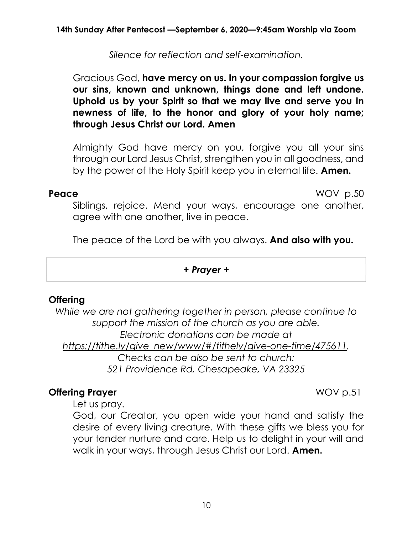Silence for reflection and self-examination.

# Gracious God, have mercy on us. In your compassion forgive us our sins, known and unknown, things done and left undone. Uphold us by your Spirit so that we may live and serve you in newness of life, to the honor and glory of your holy name; through Jesus Christ our Lord. Amen

Almighty God have mercy on you, forgive you all your sins through our Lord Jesus Christ, strengthen you in all goodness, and by the power of the Holy Spirit keep you in eternal life. **Amen.** 

Peace WOV p.50

Siblings, rejoice. Mend your ways, encourage one another, agree with one another, live in peace.

The peace of the Lord be with you always. And also with you.

+ Prayer +

# **Offering**

While we are not gathering together in person, please continue to support the mission of the church as you are able. Electronic donations can be made at https://tithe.ly/give\_new/www/#/tithely/give-one-time/475611. Checks can be also be sent to church: 521 Providence Rd, Chesapeake, VA 23325

# **Offering Prayer November 2018** WOV p.51

Let us pray.

God, our Creator, you open wide your hand and satisfy the desire of every living creature. With these gifts we bless you for your tender nurture and care. Help us to delight in your will and walk in your ways, through Jesus Christ our Lord. **Amen.**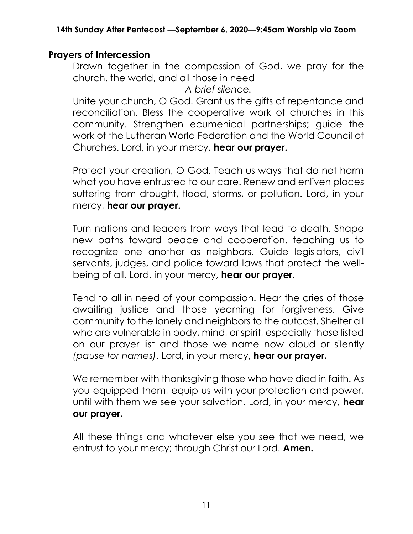# Prayers of Intercession

Drawn together in the compassion of God, we pray for the church, the world, and all those in need

A brief silence.

Unite your church, O God. Grant us the gifts of repentance and reconciliation. Bless the cooperative work of churches in this community. Strengthen ecumenical partnerships; guide the work of the Lutheran World Federation and the World Council of Churches. Lord, in your mercy, hear our prayer.

Protect your creation, O God. Teach us ways that do not harm what you have entrusted to our care. Renew and enliven places suffering from drought, flood, storms, or pollution. Lord, in your mercy, hear our prayer.

Turn nations and leaders from ways that lead to death. Shape new paths toward peace and cooperation, teaching us to recognize one another as neighbors. Guide legislators, civil servants, judges, and police toward laws that protect the wellbeing of all. Lord, in your mercy, hear our prayer.

Tend to all in need of your compassion. Hear the cries of those awaiting justice and those yearning for forgiveness. Give community to the lonely and neighbors to the outcast. Shelter all who are vulnerable in body, mind, or spirit, especially those listed on our prayer list and those we name now aloud or silently (pause for names). Lord, in your mercy, hear our prayer.

We remember with thanksgiving those who have died in faith. As you equipped them, equip us with your protection and power, until with them we see your salvation. Lord, in your mercy, hear our prayer.

All these things and whatever else you see that we need, we entrust to your mercy; through Christ our Lord. **Amen.**